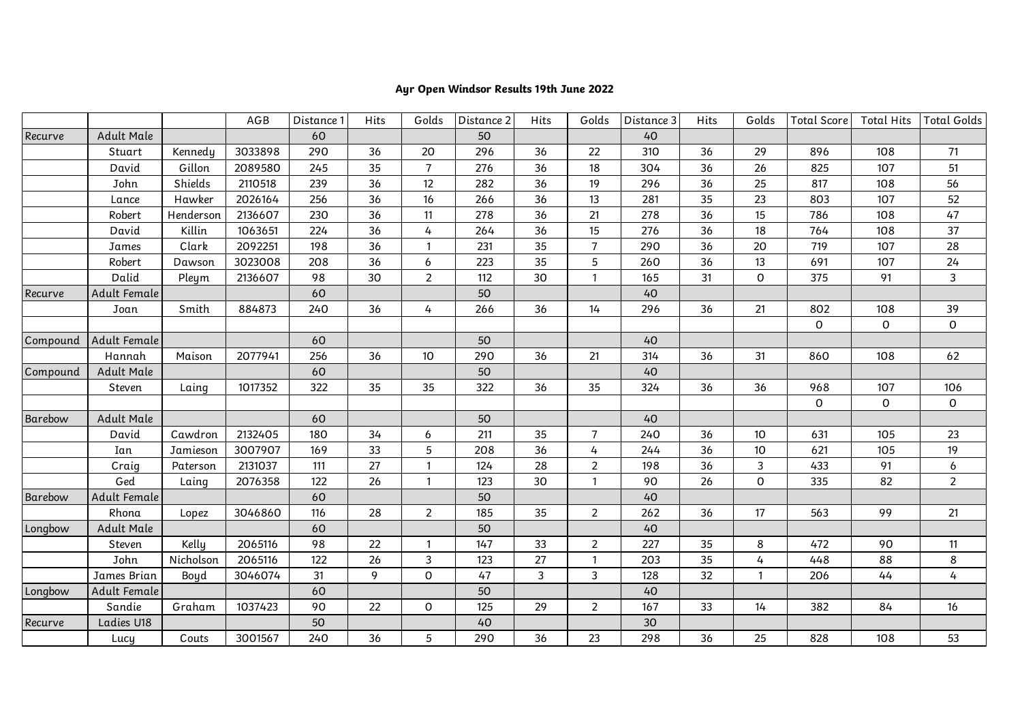## **Ayr Open Windsor Results 19th June 2022**

|          |              |           | AGB     | Distance <sup>1</sup> | Hits | Golds            | Distance 2 | Hits | Golds          | Distance 3 | Hits | Golds        | <b>Total Score</b> | <b>Total Hits</b> | <b>Total Golds</b> |
|----------|--------------|-----------|---------|-----------------------|------|------------------|------------|------|----------------|------------|------|--------------|--------------------|-------------------|--------------------|
| Recurve  | Adult Male   |           |         | 60                    |      |                  | 50         |      |                | 40         |      |              |                    |                   |                    |
|          | Stuart       | Kennedy   | 3033898 | 290                   | 36   | 20               | 296        | 36   | 22             | 310        | 36   | 29           | 896                | 108               | 71                 |
|          | David        | Gillon    | 2089580 | 245                   | 35   | $\overline{7}$   | 276        | 36   | 18             | 304        | 36   | 26           | 825                | 107               | 51                 |
|          | John         | Shields   | 2110518 | 239                   | 36   | 12               | 282        | 36   | 19             | 296        | 36   | 25           | 817                | 108               | 56                 |
|          | Lance        | Hawker    | 2026164 | 256                   | 36   | 16               | 266        | 36   | 13             | 281        | 35   | 23           | 803                | 107               | 52                 |
|          | Robert       | Henderson | 2136607 | 230                   | 36   | 11               | 278        | 36   | 21             | 278        | 36   | 15           | 786                | 108               | 47                 |
|          | David        | Killin    | 1063651 | 224                   | 36   | 4                | 264        | 36   | 15             | 276        | 36   | 18           | 764                | 108               | 37                 |
|          | James        | Clark     | 2092251 | 198                   | 36   | $\overline{1}$   | 231        | 35   | $\overline{7}$ | 290        | 36   | 20           | 719                | 107               | 28                 |
|          | Robert       | Dawson    | 3023008 | 208                   | 36   | $\boldsymbol{6}$ | 223        | 35   | 5              | 260        | 36   | 13           | 691                | 107               | 24                 |
|          | Dalid        | Pleym     | 2136607 | 98                    | 30   | $\overline{2}$   | 112        | 30   | $\mathbf{1}$   | 165        | 31   | 0            | 375                | 91                | 3                  |
| Recurve  | Adult Female |           |         | 60                    |      |                  | 50         |      |                | 40         |      |              |                    |                   |                    |
|          | Joan         | Smith     | 884873  | 240                   | 36   | 4                | 266        | 36   | 14             | 296        | 36   | 21           | 802                | 108               | 39                 |
|          |              |           |         |                       |      |                  |            |      |                |            |      |              | $\mathsf O$        | 0                 | 0                  |
| Compound | Adult Female |           |         | 60                    |      |                  | 50         |      |                | 40         |      |              |                    |                   |                    |
|          | Hannah       | Maison    | 2077941 | 256                   | 36   | 10               | 290        | 36   | 21             | 314        | 36   | 31           | 860                | 108               | 62                 |
| Compound | Adult Male   |           |         | 60                    |      |                  | 50         |      |                | 40         |      |              |                    |                   |                    |
|          | Steven       | Laing     | 1017352 | 322                   | 35   | 35               | 322        | 36   | 35             | 324        | 36   | 36           | 968                | 107               | 106                |
|          |              |           |         |                       |      |                  |            |      |                |            |      |              | 0                  | 0                 | 0                  |
| Barebow  | Adult Male   |           |         | 60                    |      |                  | 50         |      |                | 40         |      |              |                    |                   |                    |
|          | David        | Cawdron   | 2132405 | 180                   | 34   | 6                | 211        | 35   | $\overline{7}$ | 240        | 36   | 10           | 631                | 105               | 23                 |
|          | Ian          | Jamieson  | 3007907 | 169                   | 33   | 5                | 208        | 36   | 4              | 244        | 36   | $10$         | 621                | 105               | 19                 |
|          | Craig        | Paterson  | 2131037 | 111                   | 27   | $\overline{1}$   | 124        | 28   | $\overline{2}$ | 198        | 36   | $\mathbf{3}$ | 433                | 91                | 6                  |
|          | Ged          | Laing     | 2076358 | 122                   | 26   | $\mathbf{1}$     | 123        | 30   | $\mathbf{1}$   | 90         | 26   | 0            | 335                | 82                | $\overline{2}$     |
| Barebow  | Adult Female |           |         | 60                    |      |                  | 50         |      |                | 40         |      |              |                    |                   |                    |
|          | Rhona        | Lopez     | 3046860 | 116                   | 28   | $\overline{2}$   | 185        | 35   | $\overline{2}$ | 262        | 36   | 17           | 563                | 99                | 21                 |
| Longbow  | Adult Male   |           |         | 60                    |      |                  | 50         |      |                | 40         |      |              |                    |                   |                    |
|          | Steven       | Kelly     | 2065116 | 98                    | 22   | $\overline{1}$   | 147        | 33   | $\overline{2}$ | 227        | 35   | 8            | 472                | 90                | 11                 |
|          | John         | Nicholson | 2065116 | 122                   | 26   | $\mathbf{3}$     | 123        | 27   | $\mathbf{1}$   | 203        | 35   | 4            | 448                | 88                | 8                  |
|          | James Brian  | Boyd      | 3046074 | 31                    | 9    | $\mathbf 0$      | 47         | 3    | 3              | 128        | 32   | $\mathbf{1}$ | 206                | 44                | 4                  |
| Longbow  | Adult Female |           |         | 60                    |      |                  | 50         |      |                | 40         |      |              |                    |                   |                    |
|          | Sandie       | Graham    | 1037423 | 90                    | 22   | $\mathbf 0$      | 125        | 29   | $\overline{2}$ | 167        | 33   | 14           | 382                | 84                | 16                 |
| Recurve  | Ladies U18   |           |         | 50                    |      |                  | 40         |      |                | 30         |      |              |                    |                   |                    |
|          | Lucy         | Couts     | 3001567 | 240                   | 36   | 5                | 290        | 36   | 23             | 298        | 36   | 25           | 828                | 108               | 53                 |